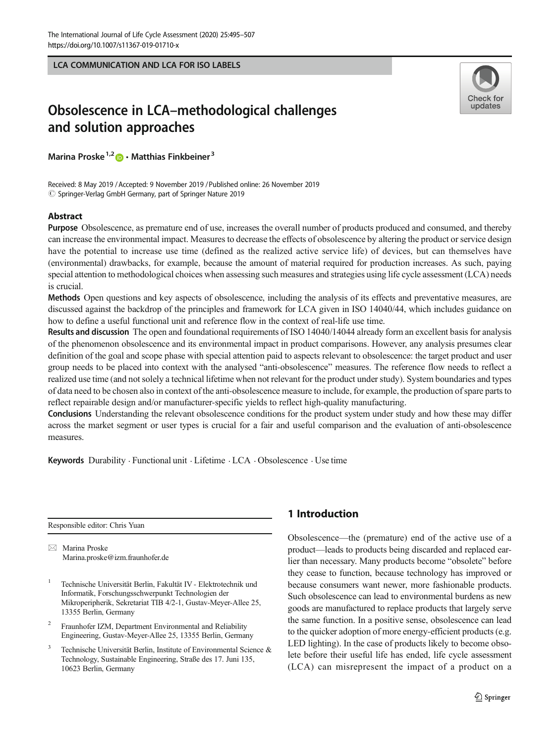LCA COMMUNICATION AND LCA FOR ISO LABELS



# Obsolescence in LCA–methodological challenges and solution approaches

Marina Proske<sup>1,2</sup>  $\bullet$  · Matthias Finkbeiner<sup>3</sup>

Received: 8 May 2019 /Accepted: 9 November 2019 /Published online: 26 November 2019  $\oslash$  Springer-Verlag GmbH Germany, part of Springer Nature 2019

## Abstract

Purpose Obsolescence, as premature end of use, increases the overall number of products produced and consumed, and thereby can increase the environmental impact. Measures to decrease the effects of obsolescence by altering the product or service design have the potential to increase use time (defined as the realized active service life) of devices, but can themselves have (environmental) drawbacks, for example, because the amount of material required for production increases. As such, paying special attention to methodological choices when assessing such measures and strategies using life cycle assessment (LCA) needs is crucial.

Methods Open questions and key aspects of obsolescence, including the analysis of its effects and preventative measures, are discussed against the backdrop of the principles and framework for LCA given in ISO 14040/44, which includes guidance on how to define a useful functional unit and reference flow in the context of real-life use time.

Results and discussion The open and foundational requirements of ISO 14040/14044 already form an excellent basis for analysis of the phenomenon obsolescence and its environmental impact in product comparisons. However, any analysis presumes clear definition of the goal and scope phase with special attention paid to aspects relevant to obsolescence: the target product and user group needs to be placed into context with the analysed "anti-obsolescence" measures. The reference flow needs to reflect a realized use time (and not solely a technical lifetime when not relevant for the product under study). System boundaries and types of data need to be chosen also in context of the anti-obsolescence measure to include, for example, the production of spare parts to reflect repairable design and/or manufacturer-specific yields to reflect high-quality manufacturing.

Conclusions Understanding the relevant obsolescence conditions for the product system under study and how these may differ across the market segment or user types is crucial for a fair and useful comparison and the evaluation of anti-obsolescence measures.

Keywords Durability . Functional unit . Lifetime . LCA . Obsolescence . Use time

Responsible editor: Chris Yuan

 $\boxtimes$  Marina Proske [Marina.proske@izm.fraunhofer.de](mailto:Marina.proske@izm.fraunhofer.de)

- <sup>1</sup> Technische Universität Berlin, Fakultät IV Elektrotechnik und Informatik, Forschungsschwerpunkt Technologien der Mikroperipherik, Sekretariat TIB 4/2-1, Gustav-Meyer-Allee 25, 13355 Berlin, Germany
- Fraunhofer IZM, Department Environmental and Reliability Engineering, Gustav-Meyer-Allee 25, 13355 Berlin, Germany
- Technische Universität Berlin, Institute of Environmental Science & Technology, Sustainable Engineering, Straße des 17. Juni 135, 10623 Berlin, Germany

# 1 Introduction

Obsolescence—the (premature) end of the active use of a product—leads to products being discarded and replaced earlier than necessary. Many products become "obsolete" before they cease to function, because technology has improved or because consumers want newer, more fashionable products. Such obsolescence can lead to environmental burdens as new goods are manufactured to replace products that largely serve the same function. In a positive sense, obsolescence can lead to the quicker adoption of more energy-efficient products (e.g. LED lighting). In the case of products likely to become obsolete before their useful life has ended, life cycle assessment (LCA) can misrepresent the impact of a product on a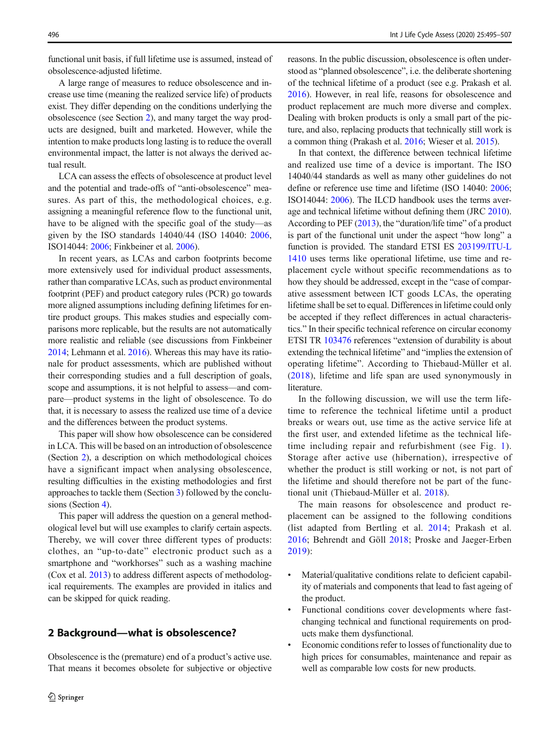functional unit basis, if full lifetime use is assumed, instead of obsolescence-adjusted lifetime.

A large range of measures to reduce obsolescence and increase use time (meaning the realized service life) of products exist. They differ depending on the conditions underlying the obsolescence (see Section 2), and many target the way products are designed, built and marketed. However, while the intention to make products long lasting is to reduce the overall environmental impact, the latter is not always the derived actual result.

LCA can assess the effects of obsolescence at product level and the potential and trade-offs of "anti-obsolescence" measures. As part of this, the methodological choices, e.g. assigning a meaningful reference flow to the functional unit, have to be aligned with the specific goal of the study—as given by the ISO standards 14040/44 (ISO 14040: [2006,](#page-12-0) ISO14044: [2006;](#page-12-0) Finkbeiner et al. [2006\)](#page-11-0).

In recent years, as LCAs and carbon footprints become more extensively used for individual product assessments, rather than comparative LCAs, such as product environmental footprint (PEF) and product category rules (PCR) go towards more aligned assumptions including defining lifetimes for entire product groups. This makes studies and especially comparisons more replicable, but the results are not automatically more realistic and reliable (see discussions from Finkbeiner [2014;](#page-11-0) Lehmann et al. [2016\)](#page-12-0). Whereas this may have its rationale for product assessments, which are published without their corresponding studies and a full description of goals, scope and assumptions, it is not helpful to assess—and compare—product systems in the light of obsolescence. To do that, it is necessary to assess the realized use time of a device and the differences between the product systems.

This paper will show how obsolescence can be considered in LCA. This will be based on an introduction of obsolescence (Section 2), a description on which methodological choices have a significant impact when analysing obsolescence, resulting difficulties in the existing methodologies and first approaches to tackle them (Section [3](#page-3-0)) followed by the conclu-sions (Section [4](#page-10-0)).

This paper will address the question on a general methodological level but will use examples to clarify certain aspects. Thereby, we will cover three different types of products: clothes, an "up-to-date" electronic product such as a smartphone and "workhorses" such as a washing machine (Cox et al. [2013\)](#page-11-0) to address different aspects of methodological requirements. The examples are provided in italics and can be skipped for quick reading.

## 2 Background—what is obsolescence?

Obsolescence is the (premature) end of a product's active use. That means it becomes obsolete for subjective or objective reasons. In the public discussion, obsolescence is often understood as "planned obsolescence", i.e. the deliberate shortening of the technical lifetime of a product (see e.g. Prakash et al. [2016\)](#page-12-0). However, in real life, reasons for obsolescence and product replacement are much more diverse and complex. Dealing with broken products is only a small part of the picture, and also, replacing products that technically still work is a common thing (Prakash et al. [2016;](#page-12-0) Wieser et al. [2015\)](#page-12-0).

In that context, the difference between technical lifetime and realized use time of a device is important. The ISO 14040/44 standards as well as many other guidelines do not define or reference use time and lifetime (ISO 14040: [2006;](#page-12-0) ISO14044: [2006](#page-12-0)). The ILCD handbook uses the terms average and technical lifetime without defining them (JRC [2010\)](#page-12-0). According to PEF [\(2013](#page-12-0)), the "duration/life time" of a product is part of the functional unit under the aspect "how long" a function is provided. The standard ETSI ES [203199/ITU-L](#page-11-0) [1410](#page-11-0) uses terms like operational lifetime, use time and replacement cycle without specific recommendations as to how they should be addressed, except in the "case of comparative assessment between ICT goods LCAs, the operating lifetime shall be set to equal. Differences in lifetime could only be accepted if they reflect differences in actual characteristics." In their specific technical reference on circular economy ETSI TR [103476](#page-11-0) references "extension of durability is about extending the technical lifetime" and "implies the extension of operating lifetime". According to Thiebaud-Müller et al. [\(2018\)](#page-12-0), lifetime and life span are used synonymously in literature.

In the following discussion, we will use the term lifetime to reference the technical lifetime until a product breaks or wears out, use time as the active service life at the first user, and extended lifetime as the technical lifetime including repair and refurbishment (see Fig. [1](#page-2-0)). Storage after active use (hibernation), irrespective of whether the product is still working or not, is not part of the lifetime and should therefore not be part of the functional unit (Thiebaud-Müller et al. [2018](#page-12-0)).

The main reasons for obsolescence and product replacement can be assigned to the following conditions (list adapted from Bertling et al. [2014](#page-11-0); Prakash et al. [2016](#page-12-0); Behrendt and Göll [2018;](#page-11-0) Proske and Jaeger-Erben [2019](#page-12-0)):

- Material/qualitative conditions relate to deficient capability of materials and components that lead to fast ageing of the product.
- Functional conditions cover developments where fastchanging technical and functional requirements on products make them dysfunctional.
- Economic conditions refer to losses of functionality due to high prices for consumables, maintenance and repair as well as comparable low costs for new products.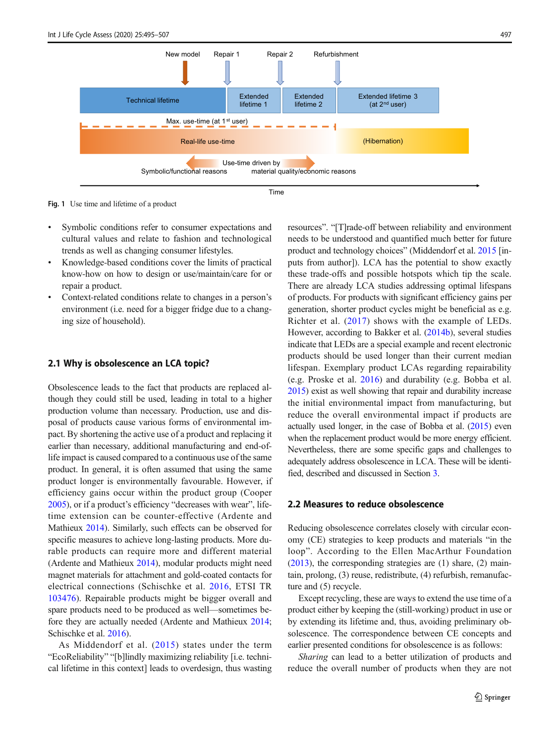<span id="page-2-0"></span>

Time

Fig. 1 Use time and lifetime of a product

- Symbolic conditions refer to consumer expectations and cultural values and relate to fashion and technological trends as well as changing consumer lifestyles.
- & Knowledge-based conditions cover the limits of practical know-how on how to design or use/maintain/care for or repair a product.
- Context-related conditions relate to changes in a person's environment (i.e. need for a bigger fridge due to a changing size of household).

#### 2.1 Why is obsolescence an LCA topic?

Obsolescence leads to the fact that products are replaced although they could still be used, leading in total to a higher production volume than necessary. Production, use and disposal of products cause various forms of environmental impact. By shortening the active use of a product and replacing it earlier than necessary, additional manufacturing and end-oflife impact is caused compared to a continuous use of the same product. In general, it is often assumed that using the same product longer is environmentally favourable. However, if efficiency gains occur within the product group (Cooper [2005\)](#page-11-0), or if a product's efficiency "decreases with wear", lifetime extension can be counter-effective (Ardente and Mathieux [2014](#page-11-0)). Similarly, such effects can be observed for specific measures to achieve long-lasting products. More durable products can require more and different material (Ardente and Mathieux [2014](#page-11-0)), modular products might need magnet materials for attachment and gold-coated contacts for electrical connections (Schischke et al. [2016,](#page-12-0) ETSI TR [103476\)](#page-11-0). Repairable products might be bigger overall and spare products need to be produced as well—sometimes before they are actually needed (Ardente and Mathieux [2014](#page-11-0); Schischke et al. [2016](#page-12-0)).

As Middendorf et al. ([2015\)](#page-12-0) states under the term "EcoReliability" "[b]lindly maximizing reliability [i.e. technical lifetime in this context] leads to overdesign, thus wasting resources". "[T]rade-off between reliability and environment needs to be understood and quantified much better for future product and technology choices" (Middendorf et al. [2015](#page-12-0) [inputs from author]). LCA has the potential to show exactly these trade-offs and possible hotspots which tip the scale. There are already LCA studies addressing optimal lifespans of products. For products with significant efficiency gains per generation, shorter product cycles might be beneficial as e.g. Richter et al. ([2017](#page-12-0)) shows with the example of LEDs. However, according to Bakker et al. [\(2014b\)](#page-11-0), several studies indicate that LEDs are a special example and recent electronic products should be used longer than their current median lifespan. Exemplary product LCAs regarding repairability (e.g. Proske et al. [2016\)](#page-12-0) and durability (e.g. Bobba et al. [2015](#page-11-0)) exist as well showing that repair and durability increase the initial environmental impact from manufacturing, but reduce the overall environmental impact if products are actually used longer, in the case of Bobba et al. [\(2015\)](#page-11-0) even when the replacement product would be more energy efficient. Nevertheless, there are some specific gaps and challenges to adequately address obsolescence in LCA. These will be identified, described and discussed in Section [3](#page-3-0).

#### 2.2 Measures to reduce obsolescence

Reducing obsolescence correlates closely with circular economy (CE) strategies to keep products and materials "in the loop". According to the Ellen MacArthur Foundation [\(2013\)](#page-11-0), the corresponding strategies are (1) share, (2) maintain, prolong, (3) reuse, redistribute, (4) refurbish, remanufacture and (5) recycle.

Except recycling, these are ways to extend the use time of a product either by keeping the (still-working) product in use or by extending its lifetime and, thus, avoiding preliminary obsolescence. The correspondence between CE concepts and earlier presented conditions for obsolescence is as follows:

Sharing can lead to a better utilization of products and reduce the overall number of products when they are not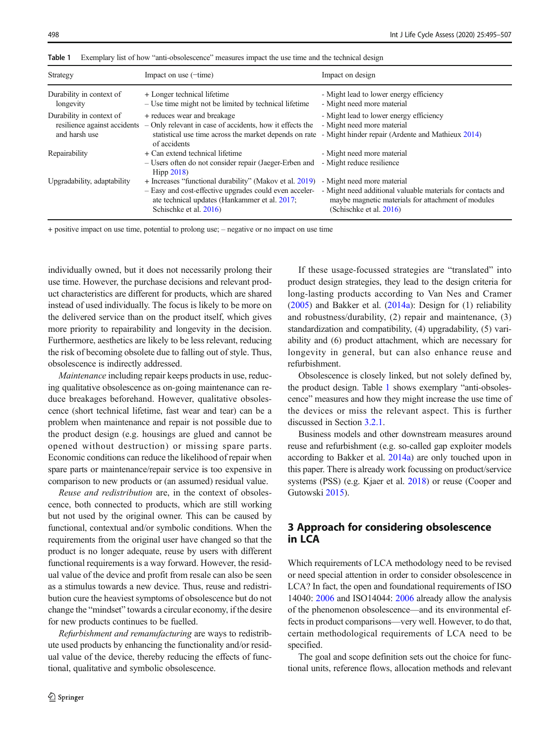| Strategy                                                                  | Impact on use $(-time)$                                                                                                                                                                      | Impact on design                                                                                                                                                           |
|---------------------------------------------------------------------------|----------------------------------------------------------------------------------------------------------------------------------------------------------------------------------------------|----------------------------------------------------------------------------------------------------------------------------------------------------------------------------|
| Durability in context of<br>longevity                                     | + Longer technical lifetime<br>- Use time might not be limited by technical lifetime                                                                                                         | - Might lead to lower energy efficiency<br>- Might need more material                                                                                                      |
| Durability in context of<br>resilience against accidents<br>and harsh use | + reduces wear and breakage<br>- Only relevant in case of accidents, how it effects the<br>statistical use time across the market depends on rate<br>of accidents                            | - Might lead to lower energy efficiency<br>- Might need more material<br>- Might hinder repair (Ardente and Mathieux 2014)                                                 |
| Repairability                                                             | + Can extend technical lifetime<br>- Users often do not consider repair (Jaeger-Erben and<br>Hipp 2018                                                                                       | - Might need more material<br>- Might reduce resilience                                                                                                                    |
| Upgradability, adaptability                                               | + Increases "functional durability" (Makov et al. 2019)<br>- Easy and cost-effective upgrades could even acceler-<br>ate technical updates (Hankammer et al. 2017;<br>Schischke et al. 2016) | - Might need more material<br>- Might need additional valuable materials for contacts and<br>maybe magnetic materials for attachment of modules<br>(Schischke et al. 2016) |

<span id="page-3-0"></span>Table 1 Exemplary list of how "anti-obsolescence" measures impact the use time and the technical design

+ positive impact on use time, potential to prolong use; – negative or no impact on use time

individually owned, but it does not necessarily prolong their use time. However, the purchase decisions and relevant product characteristics are different for products, which are shared instead of used individually. The focus is likely to be more on the delivered service than on the product itself, which gives more priority to repairability and longevity in the decision. Furthermore, aesthetics are likely to be less relevant, reducing the risk of becoming obsolete due to falling out of style. Thus, obsolescence is indirectly addressed.

Maintenance including repair keeps products in use, reducing qualitative obsolescence as on-going maintenance can reduce breakages beforehand. However, qualitative obsolescence (short technical lifetime, fast wear and tear) can be a problem when maintenance and repair is not possible due to the product design (e.g. housings are glued and cannot be opened without destruction) or missing spare parts. Economic conditions can reduce the likelihood of repair when spare parts or maintenance/repair service is too expensive in comparison to new products or (an assumed) residual value.

Reuse and redistribution are, in the context of obsolescence, both connected to products, which are still working but not used by the original owner. This can be caused by functional, contextual and/or symbolic conditions. When the requirements from the original user have changed so that the product is no longer adequate, reuse by users with different functional requirements is a way forward. However, the residual value of the device and profit from resale can also be seen as a stimulus towards a new device. Thus, reuse and redistribution cure the heaviest symptoms of obsolescence but do not change the "mindset" towards a circular economy, if the desire for new products continues to be fuelled.

Refurbishment and remanufacturing are ways to redistribute used products by enhancing the functionality and/or residual value of the device, thereby reducing the effects of functional, qualitative and symbolic obsolescence.

If these usage-focussed strategies are "translated" into product design strategies, they lead to the design criteria for long-lasting products according to Van Nes and Cramer [\(2005\)](#page-12-0) and Bakker et al.  $(2014a)$  $(2014a)$ : Design for (1) reliability and robustness/durability, (2) repair and maintenance, (3) standardization and compatibility, (4) upgradability, (5) variability and (6) product attachment, which are necessary for longevity in general, but can also enhance reuse and refurbishment.

Obsolescence is closely linked, but not solely defined by, the product design. Table 1 shows exemplary "anti-obsolescence" measures and how they might increase the use time of the devices or miss the relevant aspect. This is further discussed in Section [3.2.1](#page-5-0).

Business models and other downstream measures around reuse and refurbishment (e.g. so-called gap exploiter models according to Bakker et al. [2014a\)](#page-11-0) are only touched upon in this paper. There is already work focussing on product/service systems (PSS) (e.g. Kjaer et al. [2018](#page-12-0)) or reuse (Cooper and Gutowski [2015](#page-11-0)).

## 3 Approach for considering obsolescence in LCA

Which requirements of LCA methodology need to be revised or need special attention in order to consider obsolescence in LCA? In fact, the open and foundational requirements of ISO 14040: [2006](#page-12-0) and ISO14044: [2006](#page-12-0) already allow the analysis of the phenomenon obsolescence—and its environmental effects in product comparisons—very well. However, to do that, certain methodological requirements of LCA need to be specified.

The goal and scope definition sets out the choice for functional units, reference flows, allocation methods and relevant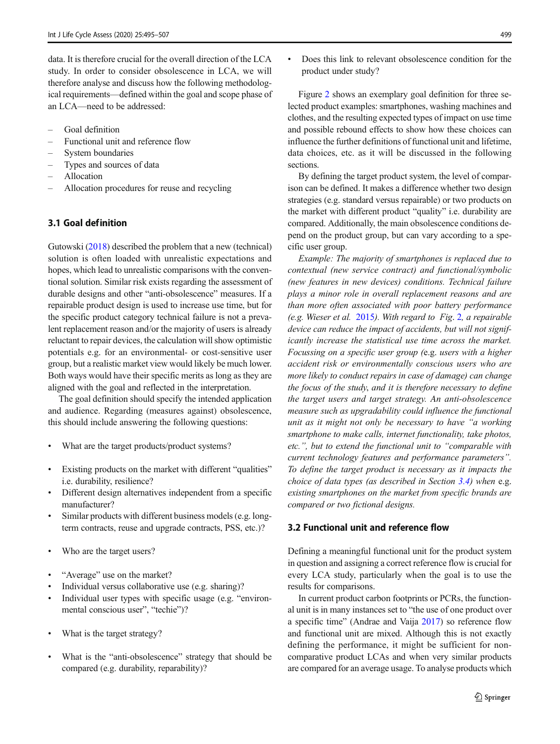data. It is therefore crucial for the overall direction of the LCA study. In order to consider obsolescence in LCA, we will therefore analyse and discuss how the following methodological requirements—defined within the goal and scope phase of an LCA—need to be addressed:

- Goal definition
- Functional unit and reference flow
- System boundaries
- Types and sources of data
- Allocation
- Allocation procedures for reuse and recycling

## 3.1 Goal definition

Gutowski [\(2018\)](#page-11-0) described the problem that a new (technical) solution is often loaded with unrealistic expectations and hopes, which lead to unrealistic comparisons with the conventional solution. Similar risk exists regarding the assessment of durable designs and other "anti-obsolescence" measures. If a repairable product design is used to increase use time, but for the specific product category technical failure is not a prevalent replacement reason and/or the majority of users is already reluctant to repair devices, the calculation will show optimistic potentials e.g. for an environmental- or cost-sensitive user group, but a realistic market view would likely be much lower. Both ways would have their specific merits as long as they are aligned with the goal and reflected in the interpretation.

The goal definition should specify the intended application and audience. Regarding (measures against) obsolescence, this should include answering the following questions:

- What are the target products/product systems?
- Existing products on the market with different "qualities" i.e. durability, resilience?
- Different design alternatives independent from a specific manufacturer?
- Similar products with different business models (e.g. longterm contracts, reuse and upgrade contracts, PSS, etc.)?
- & Who are the target users?
- "Average" use on the market?
- Individual versus collaborative use (e.g. sharing)?
- Individual user types with specific usage (e.g. "environmental conscious user", "techie")?
- What is the target strategy?
- What is the "anti-obsolescence" strategy that should be compared (e.g. durability, reparability)?

Does this link to relevant obsolescence condition for the product under study?

Figure [2](#page-5-0) shows an exemplary goal definition for three selected product examples: smartphones, washing machines and clothes, and the resulting expected types of impact on use time and possible rebound effects to show how these choices can influence the further definitions of functional unit and lifetime, data choices, etc. as it will be discussed in the following sections.

By defining the target product system, the level of comparison can be defined. It makes a difference whether two design strategies (e.g. standard versus repairable) or two products on the market with different product "quality" i.e. durability are compared. Additionally, the main obsolescence conditions depend on the product group, but can vary according to a specific user group.

Example: The majority of smartphones is replaced due to contextual (new service contract) and functional/symbolic (new features in new devices) conditions. Technical failure plays a minor role in overall replacement reasons and are than more often associated with poor battery performance (e.g. Wieser et al. [2015](#page-12-0)). With regard to Fig. [2](#page-5-0), a repairable device can reduce the impact of accidents, but will not significantly increase the statistical use time across the market. Focussing on a specific user group (e.g. users with a higher accident risk or environmentally conscious users who are more likely to conduct repairs in case of damage) can change the focus of the study, and it is therefore necessary to define the target users and target strategy. An anti-obsolescence measure such as upgradability could influence the functional unit as it might not only be necessary to have "a working smartphone to make calls, internet functionality, take photos, etc.", but to extend the functional unit to "comparable with current technology features and performance parameters". To define the target product is necessary as it impacts the choice of data types (as described in Section [3.4\)](#page-8-0) when e.g. existing smartphones on the market from specific brands are compared or two fictional designs.

#### 3.2 Functional unit and reference flow

Defining a meaningful functional unit for the product system in question and assigning a correct reference flow is crucial for every LCA study, particularly when the goal is to use the results for comparisons.

In current product carbon footprints or PCRs, the functional unit is in many instances set to "the use of one product over a specific time" (Andrae and Vaija [2017](#page-11-0)) so reference flow and functional unit are mixed. Although this is not exactly defining the performance, it might be sufficient for noncomparative product LCAs and when very similar products are compared for an average usage. To analyse products which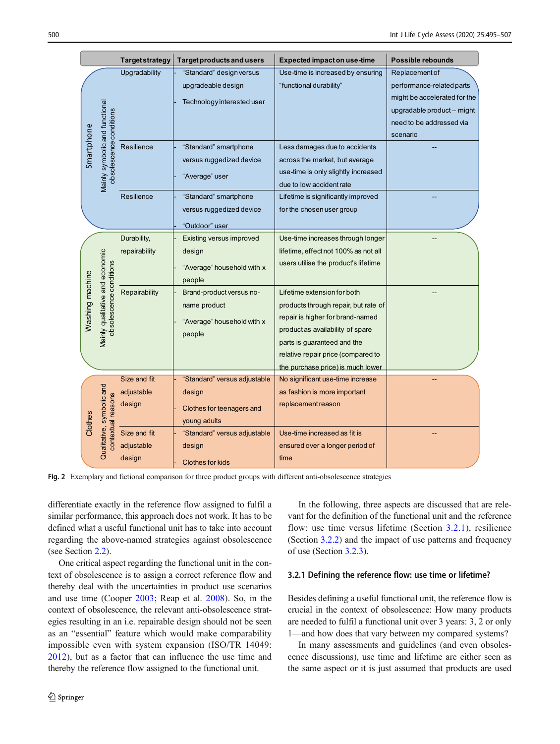<span id="page-5-0"></span>

|                 |  |                                                           | <b>Target strategy</b> | Target products and users    | <b>Expected impact on use-time</b>   | Possible rebounds            |
|-----------------|--|-----------------------------------------------------------|------------------------|------------------------------|--------------------------------------|------------------------------|
|                 |  |                                                           | Upgradability          | "Standard" design versus     | Use-time is increased by ensuring    | Replacement of               |
|                 |  |                                                           |                        | upgradeable design           | "functional durability"              | performance-related parts    |
| Smartphone      |  | Mainly symbolic and functional<br>obsolescence conditions |                        | Technology interested user   |                                      | might be accelerated for the |
|                 |  |                                                           |                        |                              |                                      | upgradable product - might   |
|                 |  |                                                           |                        |                              |                                      | need to be addressed via     |
|                 |  |                                                           |                        |                              |                                      | scenario                     |
|                 |  |                                                           | Resilience             | "Standard" smartphone        | Less damages due to accidents        |                              |
|                 |  |                                                           |                        | versus ruggedized device     | across the market, but average       |                              |
|                 |  |                                                           |                        | "Average" user               | use-time is only slightly increased  |                              |
|                 |  |                                                           |                        |                              | due to low accident rate             |                              |
|                 |  |                                                           | Resilience             | "Standard" smartphone        | Lifetime is significantly improved   |                              |
|                 |  |                                                           |                        | versus ruggedized device     | for the chosen user group            |                              |
|                 |  |                                                           |                        | "Outdoor" user               |                                      |                              |
|                 |  |                                                           | Durability,            | Existing versus improved     | Use-time increases through longer    |                              |
|                 |  |                                                           | repairability          | design                       | lifetime, effect not 100% as not all |                              |
|                 |  | economic                                                  |                        | "Average" household with x   | users utilise the product's lifetime |                              |
| Washing machine |  | obsolescence conditions<br>Mainly qualitative and         |                        | people                       |                                      |                              |
|                 |  |                                                           | Repairability          | Brand-product versus no-     | Lifetime extension for both          |                              |
|                 |  |                                                           |                        | name product                 | products through repair, but rate of |                              |
|                 |  |                                                           |                        | "Average" household with x   | repair is higher for brand-named     |                              |
|                 |  |                                                           |                        | people                       | product as availability of spare     |                              |
|                 |  |                                                           |                        |                              | parts is guaranteed and the          |                              |
|                 |  |                                                           |                        |                              | relative repair price (compared to   |                              |
|                 |  |                                                           |                        |                              | the purchase price) is much lower    |                              |
| Clothes         |  | Qualitative, symbolic and<br>contextual reasons           | Size and fit           | "Standard" versus adjustable | No significant use-time increase     |                              |
|                 |  |                                                           | adjustable             | design                       | as fashion is more important         |                              |
|                 |  |                                                           | design                 | Clothes for teenagers and    | replacement reason                   |                              |
|                 |  |                                                           |                        | young adults                 |                                      |                              |
|                 |  |                                                           | Size and fit           | "Standard" versus adjustable | Use-time increased as fit is         |                              |
|                 |  |                                                           | adjustable             | design                       | ensured over a longer period of      |                              |
|                 |  |                                                           | design                 | <b>Clothes for kids</b>      | time                                 |                              |
|                 |  |                                                           |                        |                              |                                      |                              |

Fig. 2 Exemplary and fictional comparison for three product groups with different anti-obsolescence strategies

differentiate exactly in the reference flow assigned to fulfil a similar performance, this approach does not work. It has to be defined what a useful functional unit has to take into account regarding the above-named strategies against obsolescence (see Section [2.2\)](#page-2-0).

One critical aspect regarding the functional unit in the context of obsolescence is to assign a correct reference flow and thereby deal with the uncertainties in product use scenarios and use time (Cooper [2003](#page-11-0); Reap et al. [2008](#page-12-0)). So, in the context of obsolescence, the relevant anti-obsolescence strategies resulting in an i.e. repairable design should not be seen as an "essential" feature which would make comparability impossible even with system expansion (ISO/TR 14049: [2012](#page-12-0)), but as a factor that can influence the use time and thereby the reference flow assigned to the functional unit.

In the following, three aspects are discussed that are relevant for the definition of the functional unit and the reference flow: use time versus lifetime (Section 3.2.1), resilience (Section [3.2.2\)](#page-7-0) and the impact of use patterns and frequency of use (Section [3.2.3\)](#page-7-0).

#### 3.2.1 Defining the reference flow: use time or lifetime?

Besides defining a useful functional unit, the reference flow is crucial in the context of obsolescence: How many products are needed to fulfil a functional unit over 3 years: 3, 2 or only 1—and how does that vary between my compared systems?

In many assessments and guidelines (and even obsolescence discussions), use time and lifetime are either seen as the same aspect or it is just assumed that products are used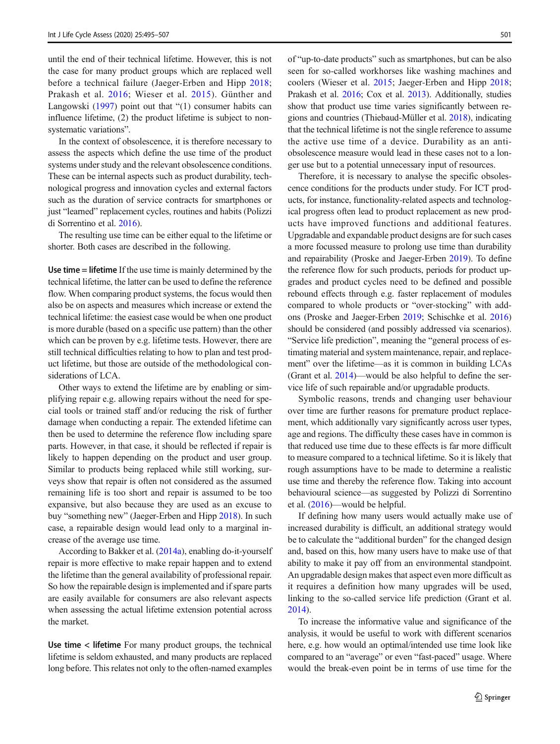until the end of their technical lifetime. However, this is not the case for many product groups which are replaced well before a technical failure (Jaeger-Erben and Hipp [2018](#page-12-0); Prakash et al. [2016](#page-12-0); Wieser et al. [2015\)](#page-12-0). Günther and Langowski ([1997](#page-11-0)) point out that "(1) consumer habits can influence lifetime, (2) the product lifetime is subject to nonsystematic variations".

In the context of obsolescence, it is therefore necessary to assess the aspects which define the use time of the product systems under study and the relevant obsolescence conditions. These can be internal aspects such as product durability, technological progress and innovation cycles and external factors such as the duration of service contracts for smartphones or just "learned" replacement cycles, routines and habits (Polizzi di Sorrentino et al. [2016\)](#page-12-0).

The resulting use time can be either equal to the lifetime or shorter. Both cases are described in the following.

Use time = lifetime If the use time is mainly determined by the technical lifetime, the latter can be used to define the reference flow. When comparing product systems, the focus would then also be on aspects and measures which increase or extend the technical lifetime: the easiest case would be when one product is more durable (based on a specific use pattern) than the other which can be proven by e.g. lifetime tests. However, there are still technical difficulties relating to how to plan and test product lifetime, but those are outside of the methodological considerations of LCA.

Other ways to extend the lifetime are by enabling or simplifying repair e.g. allowing repairs without the need for special tools or trained staff and/or reducing the risk of further damage when conducting a repair. The extended lifetime can then be used to determine the reference flow including spare parts. However, in that case, it should be reflected if repair is likely to happen depending on the product and user group. Similar to products being replaced while still working, surveys show that repair is often not considered as the assumed remaining life is too short and repair is assumed to be too expansive, but also because they are used as an excuse to buy "something new" (Jaeger-Erben and Hipp [2018\)](#page-12-0). In such case, a repairable design would lead only to a marginal increase of the average use time.

According to Bakker et al. [\(2014a\)](#page-11-0), enabling do-it-yourself repair is more effective to make repair happen and to extend the lifetime than the general availability of professional repair. So how the repairable design is implemented and if spare parts are easily available for consumers are also relevant aspects when assessing the actual lifetime extension potential across the market.

Use time < lifetime For many product groups, the technical lifetime is seldom exhausted, and many products are replaced long before. This relates not only to the often-named examples of "up-to-date products" such as smartphones, but can be also seen for so-called workhorses like washing machines and coolers (Wieser et al. [2015](#page-12-0); Jaeger-Erben and Hipp [2018;](#page-12-0) Prakash et al. [2016;](#page-12-0) Cox et al. [2013](#page-11-0)). Additionally, studies show that product use time varies significantly between regions and countries (Thiebaud-Müller et al. [2018](#page-12-0)), indicating that the technical lifetime is not the single reference to assume the active use time of a device. Durability as an antiobsolescence measure would lead in these cases not to a longer use but to a potential unnecessary input of resources.

Therefore, it is necessary to analyse the specific obsolescence conditions for the products under study. For ICT products, for instance, functionality-related aspects and technological progress often lead to product replacement as new products have improved functions and additional features. Upgradable and expandable product designs are for such cases a more focussed measure to prolong use time than durability and repairability (Proske and Jaeger-Erben [2019\)](#page-12-0). To define the reference flow for such products, periods for product upgrades and product cycles need to be defined and possible rebound effects through e.g. faster replacement of modules compared to whole products or "over-stocking" with addons (Proske and Jaeger-Erben [2019](#page-12-0); Schischke et al. [2016](#page-12-0)) should be considered (and possibly addressed via scenarios). "Service life prediction", meaning the "general process of estimating material and system maintenance, repair, and replacement" over the lifetime—as it is common in building LCAs (Grant et al. [2014](#page-11-0))—would be also helpful to define the service life of such repairable and/or upgradable products.

Symbolic reasons, trends and changing user behaviour over time are further reasons for premature product replacement, which additionally vary significantly across user types, age and regions. The difficulty these cases have in common is that reduced use time due to these effects is far more difficult to measure compared to a technical lifetime. So it is likely that rough assumptions have to be made to determine a realistic use time and thereby the reference flow. Taking into account behavioural science—as suggested by Polizzi di Sorrentino et al. ([2016](#page-12-0))—would be helpful.

If defining how many users would actually make use of increased durability is difficult, an additional strategy would be to calculate the "additional burden" for the changed design and, based on this, how many users have to make use of that ability to make it pay off from an environmental standpoint. An upgradable design makes that aspect even more difficult as it requires a definition how many upgrades will be used, linking to the so-called service life prediction (Grant et al. [2014\)](#page-11-0).

To increase the informative value and significance of the analysis, it would be useful to work with different scenarios here, e.g. how would an optimal/intended use time look like compared to an "average" or even "fast-paced" usage. Where would the break-even point be in terms of use time for the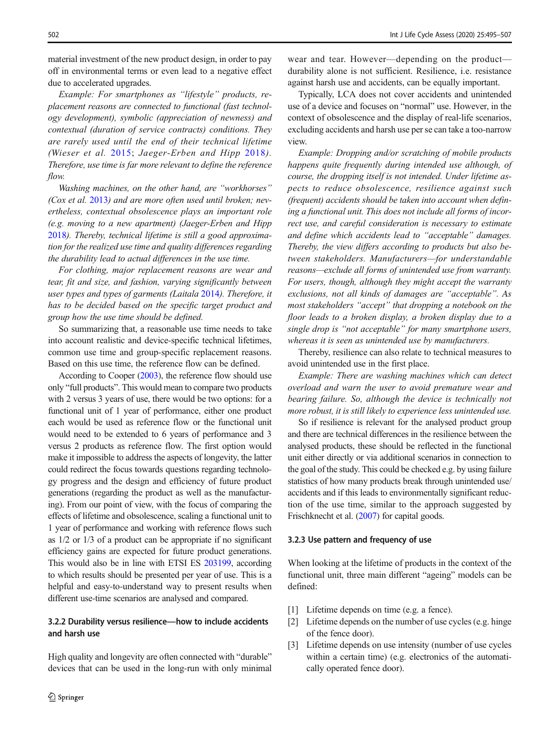<span id="page-7-0"></span>material investment of the new product design, in order to pay off in environmental terms or even lead to a negative effect due to accelerated upgrades.

Example: For smartphones as "lifestyle" products, replacement reasons are connected to functional (fast technology development), symbolic (appreciation of newness) and contextual (duration of service contracts) conditions. They are rarely used until the end of their technical lifetime (Wieser et al. [2015](#page-12-0); Jaeger-Erben and Hipp [2018](#page-12-0)). Therefore, use time is far more relevant to define the reference flow.

Washing machines, on the other hand, are "workhorses" (Cox et al. [2013](#page-11-0)) and are more often used until broken; nevertheless, contextual obsolescence plays an important role (e.g. moving to a new apartment) (Jaeger-Erben and Hipp [2018](#page-12-0)). Thereby, technical lifetime is still a good approximation for the realized use time and quality differences regarding the durability lead to actual differences in the use time.

For clothing, major replacement reasons are wear and tear, fit and size, and fashion, varying significantly between user types and types of garments (Laitala [2014](#page-12-0)). Therefore, it has to be decided based on the specific target product and group how the use time should be defined.

So summarizing that, a reasonable use time needs to take into account realistic and device-specific technical lifetimes, common use time and group-specific replacement reasons. Based on this use time, the reference flow can be defined.

According to Cooper [\(2003](#page-11-0)), the reference flow should use only "full products". This would mean to compare two products with 2 versus 3 years of use, there would be two options: for a functional unit of 1 year of performance, either one product each would be used as reference flow or the functional unit would need to be extended to 6 years of performance and 3 versus 2 products as reference flow. The first option would make it impossible to address the aspects of longevity, the latter could redirect the focus towards questions regarding technology progress and the design and efficiency of future product generations (regarding the product as well as the manufacturing). From our point of view, with the focus of comparing the effects of lifetime and obsolescence, scaling a functional unit to 1 year of performance and working with reference flows such as 1/2 or 1/3 of a product can be appropriate if no significant efficiency gains are expected for future product generations. This would also be in line with ETSI ES [203199,](#page-11-0) according to which results should be presented per year of use. This is a helpful and easy-to-understand way to present results when different use-time scenarios are analysed and compared.

## 3.2.2 Durability versus resilience—how to include accidents and harsh use

High quality and longevity are often connected with "durable" devices that can be used in the long-run with only minimal

wear and tear. However—depending on the product durability alone is not sufficient. Resilience, i.e. resistance against harsh use and accidents, can be equally important.

Typically, LCA does not cover accidents and unintended use of a device and focuses on "normal" use. However, in the context of obsolescence and the display of real-life scenarios, excluding accidents and harsh use per se can take a too-narrow view.

Example: Dropping and/or scratching of mobile products happens quite frequently during intended use although, of course, the dropping itself is not intended. Under lifetime aspects to reduce obsolescence, resilience against such (frequent) accidents should be taken into account when defining a functional unit. This does not include all forms of incorrect use, and careful consideration is necessary to estimate and define which accidents lead to "acceptable" damages. Thereby, the view differs according to products but also between stakeholders. Manufacturers—for understandable reasons—exclude all forms of unintended use from warranty. For users, though, although they might accept the warranty exclusions, not all kinds of damages are "acceptable". As most stakeholders "accept" that dropping a notebook on the floor leads to a broken display, a broken display due to a single drop is "not acceptable" for many smartphone users, whereas it is seen as unintended use by manufacturers.

Thereby, resilience can also relate to technical measures to avoid unintended use in the first place.

Example: There are washing machines which can detect overload and warn the user to avoid premature wear and bearing failure. So, although the device is technically not more robust, it is still likely to experience less unintended use.

So if resilience is relevant for the analysed product group and there are technical differences in the resilience between the analysed products, these should be reflected in the functional unit either directly or via additional scenarios in connection to the goal of the study. This could be checked e.g. by using failure statistics of how many products break through unintended use/ accidents and if this leads to environmentally significant reduction of the use time, similar to the approach suggested by Frischknecht et al. ([2007\)](#page-11-0) for capital goods.

#### 3.2.3 Use pattern and frequency of use

When looking at the lifetime of products in the context of the functional unit, three main different "ageing" models can be defined:

- [1] Lifetime depends on time (e.g. a fence).
- [2] Lifetime depends on the number of use cycles (e.g. hinge of the fence door).
- [3] Lifetime depends on use intensity (number of use cycles within a certain time) (e.g. electronics of the automatically operated fence door).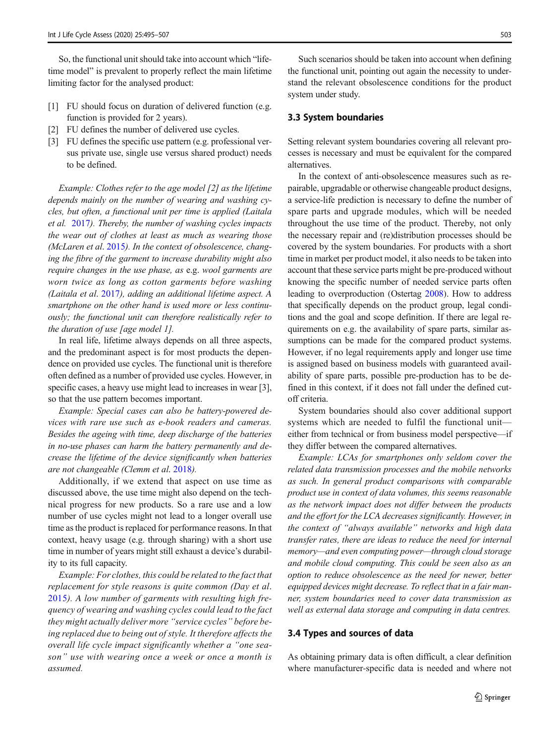<span id="page-8-0"></span>So, the functional unit should take into account which "lifetime model" is prevalent to properly reflect the main lifetime limiting factor for the analysed product:

- [1] FU should focus on duration of delivered function (e.g. function is provided for 2 years).
- [2] FU defines the number of delivered use cycles.
- [3] FU defines the specific use pattern (e.g. professional versus private use, single use versus shared product) needs to be defined.

Example: Clothes refer to the age model [2] as the lifetime depends mainly on the number of wearing and washing cycles, but often, a functional unit per time is applied (Laitala et al. [2017](#page-12-0)). Thereby, the number of washing cycles impacts the wear out of clothes at least as much as wearing those (McLaren et al. [2015](#page-12-0)). In the context of obsolescence, changing the fibre of the garment to increase durability might also require changes in the use phase, as e.g. wool garments are worn twice as long as cotton garments before washing (Laitala et al. [2017](#page-12-0)), adding an additional lifetime aspect. A smartphone on the other hand is used more or less continuously; the functional unit can therefore realistically refer to the duration of use [age model 1].

In real life, lifetime always depends on all three aspects, and the predominant aspect is for most products the dependence on provided use cycles. The functional unit is therefore often defined as a number of provided use cycles. However, in specific cases, a heavy use might lead to increases in wear [3], so that the use pattern becomes important.

Example: Special cases can also be battery-powered devices with rare use such as e-book readers and cameras. Besides the ageing with time, deep discharge of the batteries in no-use phases can harm the battery permanently and decrease the lifetime of the device significantly when batteries are not changeable (Clemm et al. [2018](#page-11-0)).

Additionally, if we extend that aspect on use time as discussed above, the use time might also depend on the technical progress for new products. So a rare use and a low number of use cycles might not lead to a longer overall use time as the product is replaced for performance reasons. In that context, heavy usage (e.g. through sharing) with a short use time in number of years might still exhaust a device's durability to its full capacity.

Example: For clothes, this could be related to the fact that replacement for style reasons is quite common (Day et al. [2015](#page-11-0)). A low number of garments with resulting high frequency of wearing and washing cycles could lead to the fact they might actually deliver more "service cycles" before being replaced due to being out of style. It therefore affects the overall life cycle impact significantly whether a "one season" use with wearing once a week or once a month is assumed.

Such scenarios should be taken into account when defining the functional unit, pointing out again the necessity to understand the relevant obsolescence conditions for the product system under study.

#### 3.3 System boundaries

Setting relevant system boundaries covering all relevant processes is necessary and must be equivalent for the compared alternatives.

In the context of anti-obsolescence measures such as repairable, upgradable or otherwise changeable product designs, a service-life prediction is necessary to define the number of spare parts and upgrade modules, which will be needed throughout the use time of the product. Thereby, not only the necessary repair and (re)distribution processes should be covered by the system boundaries. For products with a short time in market per product model, it also needs to be taken into account that these service parts might be pre-produced without knowing the specific number of needed service parts often leading to overproduction (Ostertag [2008\)](#page-12-0). How to address that specifically depends on the product group, legal conditions and the goal and scope definition. If there are legal requirements on e.g. the availability of spare parts, similar assumptions can be made for the compared product systems. However, if no legal requirements apply and longer use time is assigned based on business models with guaranteed availability of spare parts, possible pre-production has to be defined in this context, if it does not fall under the defined cutoff criteria.

System boundaries should also cover additional support systems which are needed to fulfil the functional unit either from technical or from business model perspective—if they differ between the compared alternatives.

Example: LCAs for smartphones only seldom cover the related data transmission processes and the mobile networks as such. In general product comparisons with comparable product use in context of data volumes, this seems reasonable as the network impact does not differ between the products and the effort for the LCA decreases significantly. However, in the context of "always available" networks and high data transfer rates, there are ideas to reduce the need for internal memory—and even computing power—through cloud storage and mobile cloud computing. This could be seen also as an option to reduce obsolescence as the need for newer, better equipped devices might decrease. To reflect that in a fair manner, system boundaries need to cover data transmission as well as external data storage and computing in data centres.

#### 3.4 Types and sources of data

As obtaining primary data is often difficult, a clear definition where manufacturer-specific data is needed and where not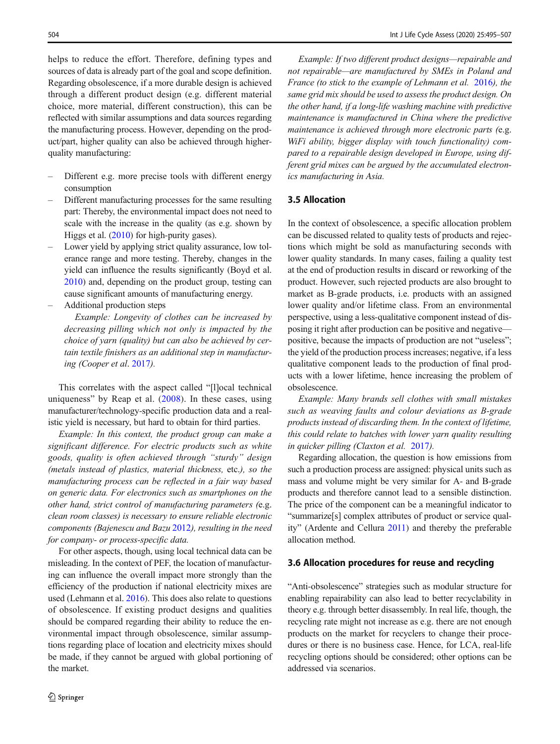helps to reduce the effort. Therefore, defining types and sources of data is already part of the goal and scope definition. Regarding obsolescence, if a more durable design is achieved through a different product design (e.g. different material choice, more material, different construction), this can be reflected with similar assumptions and data sources regarding the manufacturing process. However, depending on the product/part, higher quality can also be achieved through higherquality manufacturing:

- Different e.g. more precise tools with different energy consumption
- Different manufacturing processes for the same resulting part: Thereby, the environmental impact does not need to scale with the increase in the quality (as e.g. shown by Higgs et al. ([2010\)](#page-12-0) for high-purity gases).
- Lower yield by applying strict quality assurance, low tolerance range and more testing. Thereby, changes in the yield can influence the results significantly (Boyd et al. [2010\)](#page-11-0) and, depending on the product group, testing can cause significant amounts of manufacturing energy.
- Additional production steps

Example: Longevity of clothes can be increased by decreasing pilling which not only is impacted by the choice of yarn (quality) but can also be achieved by certain textile finishers as an additional step in manufacturing (Cooper et al. [2017](#page-11-0)).

This correlates with the aspect called "[l]ocal technical uniqueness" by Reap et al. ([2008](#page-12-0)). In these cases, using manufacturer/technology-specific production data and a realistic yield is necessary, but hard to obtain for third parties.

Example: In this context, the product group can make a significant difference. For electric products such as white goods, quality is often achieved through "sturdy" design (metals instead of plastics, material thickness, etc.), so the manufacturing process can be reflected in a fair way based on generic data. For electronics such as smartphones on the other hand, strict control of manufacturing parameters (e.g. clean room classes) is necessary to ensure reliable electronic components (Bajenescu and Bazu [2012](#page-11-0)), resulting in the need for company- or process-specific data.

For other aspects, though, using local technical data can be misleading. In the context of PEF, the location of manufacturing can influence the overall impact more strongly than the efficiency of the production if national electricity mixes are used (Lehmann et al. [2016\)](#page-12-0). This does also relate to questions of obsolescence. If existing product designs and qualities should be compared regarding their ability to reduce the environmental impact through obsolescence, similar assumptions regarding place of location and electricity mixes should be made, if they cannot be argued with global portioning of the market.

Example: If two different product designs—repairable and not repairable—are manufactured by SMEs in Poland and France (to stick to the example of Lehmann et al. [2016](#page-12-0)), the same grid mix should be used to assess the product design. On the other hand, if a long-life washing machine with predictive maintenance is manufactured in China where the predictive maintenance is achieved through more electronic parts (e.g. WiFi ability, bigger display with touch functionality) compared to a repairable design developed in Europe, using different grid mixes can be argued by the accumulated electronics manufacturing in Asia.

#### 3.5 Allocation

In the context of obsolescence, a specific allocation problem can be discussed related to quality tests of products and rejections which might be sold as manufacturing seconds with lower quality standards. In many cases, failing a quality test at the end of production results in discard or reworking of the product. However, such rejected products are also brought to market as B-grade products, i.e. products with an assigned lower quality and/or lifetime class. From an environmental perspective, using a less-qualitative component instead of disposing it right after production can be positive and negative positive, because the impacts of production are not "useless"; the yield of the production process increases; negative, if a less qualitative component leads to the production of final products with a lower lifetime, hence increasing the problem of obsolescence.

Example: Many brands sell clothes with small mistakes such as weaving faults and colour deviations as B-grade products instead of discarding them. In the context of lifetime, this could relate to batches with lower yarn quality resulting in quicker pilling (Claxton et al. [2017](#page-11-0)).

Regarding allocation, the question is how emissions from such a production process are assigned: physical units such as mass and volume might be very similar for A- and B-grade products and therefore cannot lead to a sensible distinction. The price of the component can be a meaningful indicator to "summarize[s] complex attributes of product or service quality" (Ardente and Cellura [2011\)](#page-11-0) and thereby the preferable allocation method.

#### 3.6 Allocation procedures for reuse and recycling

"Anti-obsolescence" strategies such as modular structure for enabling repairability can also lead to better recyclability in theory e.g. through better disassembly. In real life, though, the recycling rate might not increase as e.g. there are not enough products on the market for recyclers to change their procedures or there is no business case. Hence, for LCA, real-life recycling options should be considered; other options can be addressed via scenarios.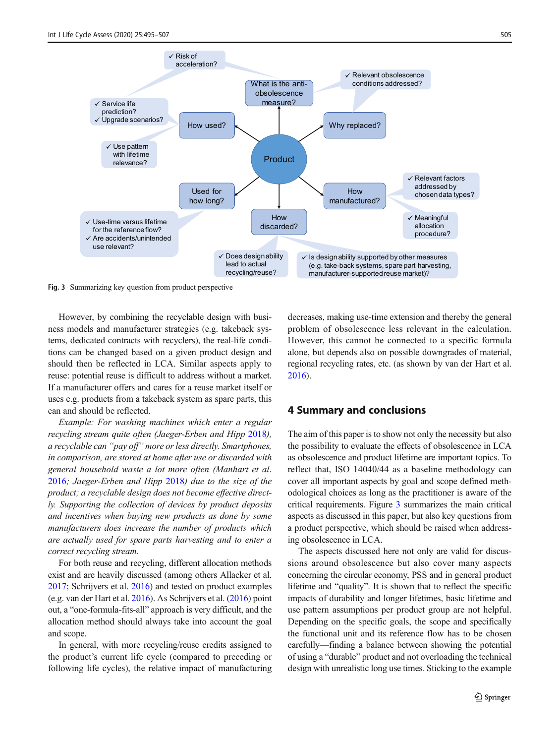<span id="page-10-0"></span>

Fig. 3 Summarizing key question from product perspective

However, by combining the recyclable design with business models and manufacturer strategies (e.g. takeback systems, dedicated contracts with recyclers), the real-life conditions can be changed based on a given product design and should then be reflected in LCA. Similar aspects apply to reuse: potential reuse is difficult to address without a market. If a manufacturer offers and cares for a reuse market itself or uses e.g. products from a takeback system as spare parts, this can and should be reflected.

Example: For washing machines which enter a regular recycling stream quite often (Jaeger-Erben and Hipp [2018](#page-12-0)), a recyclable can "pay off" more or less directly. Smartphones, in comparison, are stored at home after use or discarded with general household waste a lot more often (Manhart et al. [2016](#page-12-0); Jaeger-Erben and Hipp [2018](#page-12-0)) due to the size of the product; a recyclable design does not become effective directly. Supporting the collection of devices by product deposits and incentives when buying new products as done by some manufacturers does increase the number of products which are actually used for spare parts harvesting and to enter a correct recycling stream.

For both reuse and recycling, different allocation methods exist and are heavily discussed (among others Allacker et al. [2017;](#page-11-0) Schrijvers et al. [2016](#page-12-0)) and tested on product examples (e.g. van der Hart et al. [2016\)](#page-12-0). As Schrijvers et al. [\(2016\)](#page-12-0) point out, a "one-formula-fits-all" approach is very difficult, and the allocation method should always take into account the goal and scope.

In general, with more recycling/reuse credits assigned to the product's current life cycle (compared to preceding or following life cycles), the relative impact of manufacturing decreases, making use-time extension and thereby the general problem of obsolescence less relevant in the calculation. However, this cannot be connected to a specific formula alone, but depends also on possible downgrades of material, regional recycling rates, etc. (as shown by van der Hart et al. [2016\)](#page-12-0).

## 4 Summary and conclusions

The aim of this paper is to show not only the necessity but also the possibility to evaluate the effects of obsolescence in LCA as obsolescence and product lifetime are important topics. To reflect that, ISO 14040/44 as a baseline methodology can cover all important aspects by goal and scope defined methodological choices as long as the practitioner is aware of the critical requirements. Figure 3 summarizes the main critical aspects as discussed in this paper, but also key questions from a product perspective, which should be raised when addressing obsolescence in LCA.

The aspects discussed here not only are valid for discussions around obsolescence but also cover many aspects concerning the circular economy, PSS and in general product lifetime and "quality". It is shown that to reflect the specific impacts of durability and longer lifetimes, basic lifetime and use pattern assumptions per product group are not helpful. Depending on the specific goals, the scope and specifically the functional unit and its reference flow has to be chosen carefully—finding a balance between showing the potential of using a "durable" product and not overloading the technical design with unrealistic long use times. Sticking to the example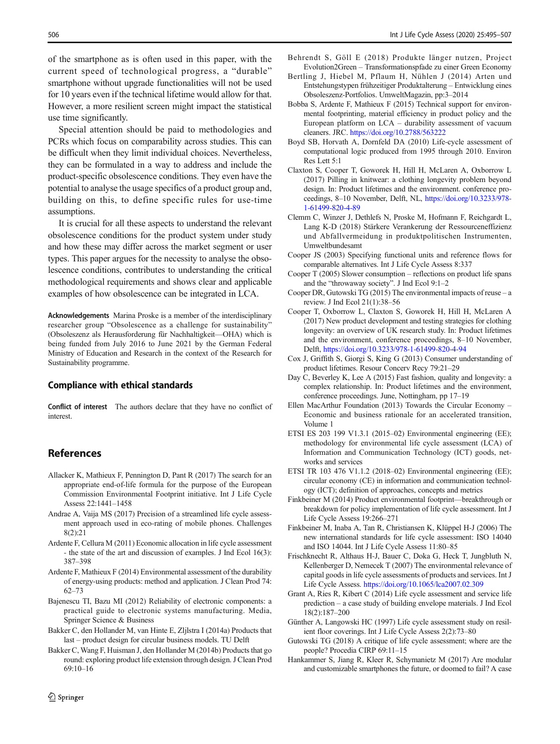<span id="page-11-0"></span>of the smartphone as is often used in this paper, with the current speed of technological progress, a "durable" smartphone without upgrade functionalities will not be used for 10 years even if the technical lifetime would allow for that. However, a more resilient screen might impact the statistical use time significantly.

Special attention should be paid to methodologies and PCRs which focus on comparability across studies. This can be difficult when they limit individual choices. Nevertheless, they can be formulated in a way to address and include the product-specific obsolescence conditions. They even have the potential to analyse the usage specifics of a product group and, building on this, to define specific rules for use-time assumptions.

It is crucial for all these aspects to understand the relevant obsolescence conditions for the product system under study and how these may differ across the market segment or user types. This paper argues for the necessity to analyse the obsolescence conditions, contributes to understanding the critical methodological requirements and shows clear and applicable examples of how obsolescence can be integrated in LCA.

Acknowledgements Marina Proske is a member of the interdisciplinary researcher group "Obsolescence as a challenge for sustainability" (Obsoleszenz als Herausforderung für Nachhaltigkeit—OHA) which is being funded from July 2016 to June 2021 by the German Federal Ministry of Education and Research in the context of the Research for Sustainability programme.

#### Compliance with ethical standards

Conflict of interest The authors declare that they have no conflict of interest.

## References

- Allacker K, Mathieux F, Pennington D, Pant R (2017) The search for an appropriate end-of-life formula for the purpose of the European Commission Environmental Footprint initiative. Int J Life Cycle Assess 22:1441–1458
- Andrae A, Vaija MS (2017) Precision of a streamlined life cycle assessment approach used in eco-rating of mobile phones. Challenges 8(2):21
- Ardente F, Cellura M (2011) Economic allocation in life cycle assessment - the state of the art and discussion of examples. J Ind Ecol 16(3): 387–398
- Ardente F, Mathieux F (2014) Environmental assessment of the durability of energy-using products: method and application. J Clean Prod 74: 62–73
- Bajenescu TI, Bazu MI (2012) Reliability of electronic components: a practical guide to electronic systems manufacturing. Media, Springer Science & Business
- Bakker C, den Hollander M, van Hinte E, Zljlstra I (2014a) Products that last – product design for circular business models. TU Delft
- Bakker C, Wang F, Huisman J, den Hollander M (2014b) Products that go round: exploring product life extension through design. J Clean Prod 69:10–16
- Behrendt S, Göll E (2018) Produkte länger nutzen, Project Evolution2Green – Transformationspfade zu einer Green Economy
- Bertling J, Hiebel M, Pflaum H, Nühlen J (2014) Arten und Entstehungstypen frühzeitiger Produktalterung – Entwicklung eines Obsoleszenz-Portfolios. UmweltMagazin, pp:3–2014
- Bobba S, Ardente F, Mathieux F (2015) Technical support for environmental footprinting, material efficiency in product policy and the European platform on LCA – durability assessment of vacuum cleaners. JRC. <https://doi.org/10.2788/563222>
- Boyd SB, Horvath A, Dornfeld DA (2010) Life-cycle assessment of computational logic produced from 1995 through 2010. Environ Res Lett 5:1
- Claxton S, Cooper T, Goworek H, Hill H, McLaren A, Oxborrow L (2017) Pilling in knitwear: a clothing longevity problem beyond design. In: Product lifetimes and the environment. conference proceedings, 8–10 November, Delft, NL, [https://doi.org/10.3233/978-](https://doi.org/10.3233/978-1-61499-820-4-89) [1-61499-820-4-89](https://doi.org/10.3233/978-1-61499-820-4-89)
- Clemm C, Winzer J, Dethlefs N, Proske M, Hofmann F, Reichgardt L, Lang K-D (2018) Stärkere Verankerung der Ressourceneffizienz und Abfallvermeidung in produktpolitischen Instrumenten, Umweltbundesamt
- Cooper JS (2003) Specifying functional units and reference flows for comparable alternatives. Int J Life Cycle Assess 8:337
- Cooper T (2005) Slower consumption reflections on product life spans and the "throwaway society". J Ind Ecol 9:1–2
- Cooper DR, Gutowski TG (2015) The environmental impacts of reuse a review. J Ind Ecol 21(1):38–56
- Cooper T, Oxborrow L, Claxton S, Goworek H, Hill H, McLaren A (2017) New product development and testing strategies for clothing longevity: an overview of UK research study. In: Product lifetimes and the environment, conference proceedings, 8–10 November, Delft, <https://doi.org/10.3233/978-1-61499-820-4-94>
- Cox J, Griffith S, Giorgi S, King G (2013) Consumer understanding of product lifetimes. Resour Concerv Recy 79:21–29
- Day C, Beverley K, Lee A (2015) Fast fashion, quality and longevity: a complex relationship. In: Product lifetimes and the environment, conference proceedings. June, Nottingham, pp 17–19
- Ellen MacArthur Foundation (2013) Towards the Circular Economy Economic and business rationale for an accelerated transition, Volume 1
- ETSI ES 203 199 V1.3.1 (2015–02) Environmental engineering (EE); methodology for environmental life cycle assessment (LCA) of Information and Communication Technology (ICT) goods, networks and services
- ETSI TR 103 476 V1.1.2 (2018–02) Environmental engineering (EE); circular economy (CE) in information and communication technology (ICT); definition of approaches, concepts and metrics
- Finkbeiner M (2014) Product environmental footprint—breakthrough or breakdown for policy implementation of life cycle assessment. Int J Life Cycle Assess 19:266–271
- Finkbeiner M, Inaba A, Tan R, Christiansen K, Klüppel H-J (2006) The new international standards for life cycle assessment: ISO 14040 and ISO 14044. Int J Life Cycle Assess 11:80–85
- Frischknecht R, Althaus H-J, Bauer C, Doka G, Heck T, Jungbluth N, Kellenberger D, Nemecek T (2007) The environmental relevance of capital goods in life cycle assessments of products and services. Int J Life Cycle Assess. <https://doi.org/10.1065/lca2007.02.309>
- Grant A, Ries R, Kibert C (2014) Life cycle assessment and service life prediction – a case study of building envelope materials. J Ind Ecol 18(2):187–200
- Günther A, Langowski HC (1997) Life cycle assessment study on resilient floor coverings. Int J Life Cycle Assess 2(2):73–80
- Gutowski TG (2018) A critique of life cycle assessment; where are the people? Procedia CIRP 69:11–15
- Hankammer S, Jiang R, Kleer R, Schymanietz M (2017) Are modular and customizable smartphones the future, or doomed to fail? A case